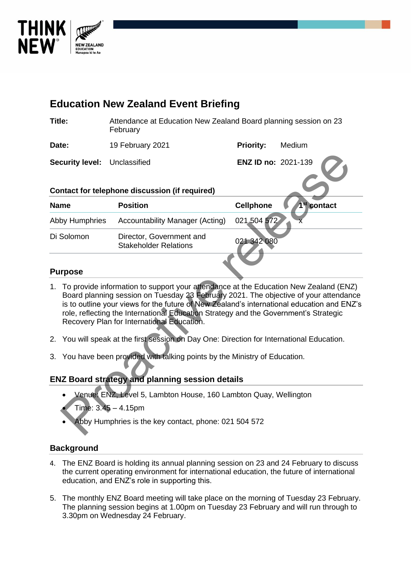

| <b>Education New Zealand Event Briefing</b>                                                                                                                                                                                                                                                                                                                                                                         |                                                                              |                     |                         |  |  |  |
|---------------------------------------------------------------------------------------------------------------------------------------------------------------------------------------------------------------------------------------------------------------------------------------------------------------------------------------------------------------------------------------------------------------------|------------------------------------------------------------------------------|---------------------|-------------------------|--|--|--|
| Title:                                                                                                                                                                                                                                                                                                                                                                                                              | Attendance at Education New Zealand Board planning session on 23<br>February |                     |                         |  |  |  |
| Date:                                                                                                                                                                                                                                                                                                                                                                                                               | 19 February 2021                                                             | <b>Priority:</b>    | Medium                  |  |  |  |
| <b>Security level:</b>                                                                                                                                                                                                                                                                                                                                                                                              | Unclassified                                                                 | ENZ ID no: 2021-139 |                         |  |  |  |
|                                                                                                                                                                                                                                                                                                                                                                                                                     | <b>Contact for telephone discussion (if required)</b>                        |                     |                         |  |  |  |
| <b>Name</b>                                                                                                                                                                                                                                                                                                                                                                                                         | <b>Position</b>                                                              | <b>Cellphone</b>    | 1 <sup>st</sup> contact |  |  |  |
| Abby Humphries                                                                                                                                                                                                                                                                                                                                                                                                      | <b>Accountability Manager (Acting)</b>                                       | 021 504 572         |                         |  |  |  |
| Di Solomon                                                                                                                                                                                                                                                                                                                                                                                                          | Director, Government and<br><b>Stakeholder Relations</b>                     | 021 342 080         |                         |  |  |  |
| <b>Purpose</b>                                                                                                                                                                                                                                                                                                                                                                                                      |                                                                              |                     |                         |  |  |  |
| 1. To provide information to support your attendance at the Education New Zealand (ENZ)<br>Board planning session on Tuesday 23 February 2021. The objective of your attendance<br>is to outline your views for the future of New Zealand's international education and ENZ's<br>role, reflecting the International Education Strategy and the Government's Strategic<br>Recovery Plan for International Education. |                                                                              |                     |                         |  |  |  |
| You will speak at the first session on Day One: Direction for International Education.<br>2.                                                                                                                                                                                                                                                                                                                        |                                                                              |                     |                         |  |  |  |
| You have been provided with talking points by the Ministry of Education.<br>3.                                                                                                                                                                                                                                                                                                                                      |                                                                              |                     |                         |  |  |  |
| <b>ENZ Board strategy and planning session details</b>                                                                                                                                                                                                                                                                                                                                                              |                                                                              |                     |                         |  |  |  |
| Venue: ENZ, Level 5, Lambton House, 160 Lambton Quay, Wellington<br>Time: 3.45 - 4.15pm                                                                                                                                                                                                                                                                                                                             |                                                                              |                     |                         |  |  |  |
| Abby Humphries is the key contact, phone: 021 504 572                                                                                                                                                                                                                                                                                                                                                               |                                                                              |                     |                         |  |  |  |

### **Purpose**

- 1. To provide information to support your attendance at the Education New Zealand (ENZ) Board planning session on Tuesday 23 February 2021. The objective of your attendance is to outline your views for the future of New Zealand's international education and ENZ's role, reflecting the International Education Strategy and the Government's Strategic Recovery Plan for International Education.
- 2. You will speak at the first session on Day One: Direction for International Education.
- 3. You have been provided with talking points by the Ministry of Education.

### **ENZ Board strategy and planning session details**

- Venue: ENZ, Level 5, Lambton House, 160 Lambton Quay, Wellington
- Time: 3.45 4.15pm
- Abby Humphries is the key contact, phone: 021 504 572

### **Background**

- 4. The ENZ Board is holding its annual planning session on 23 and 24 February to discuss the current operating environment for international education, the future of international education, and ENZ's role in supporting this.
- 5. The monthly ENZ Board meeting will take place on the morning of Tuesday 23 February. The planning session begins at 1.00pm on Tuesday 23 February and will run through to 3.30pm on Wednesday 24 February.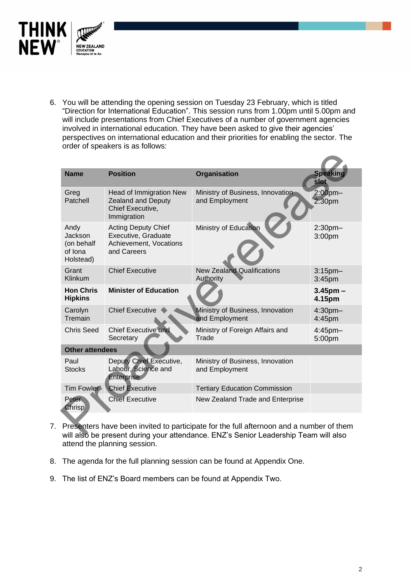

6. You will be attending the opening session on Tuesday 23 February, which is titled "Direction for International Education". This session runs from 1.00pm until 5.00pm and will include presentations from Chief Executives of a number of government agencies involved in international education. They have been asked to give their agencies' perspectives on international education and their priorities for enabling the sector. The order of speakers is as follows:

| <b>Name</b>                                                                                                                                                                   | <b>Position</b>                                                                            | Organisation                                       | <b>Speaking</b><br>slot             |  |  |
|-------------------------------------------------------------------------------------------------------------------------------------------------------------------------------|--------------------------------------------------------------------------------------------|----------------------------------------------------|-------------------------------------|--|--|
| Greg<br>Patchell                                                                                                                                                              | Head of Immigration New<br><b>Zealand and Deputy</b><br>Chief Executive,<br>Immigration    | Ministry of Business, Innovation<br>and Employment | $2:00$ pm $-$<br>2:30 <sub>pm</sub> |  |  |
| Andy<br>Jackson<br>(on behalf<br>of Iona<br>Holstead)                                                                                                                         | <b>Acting Deputy Chief</b><br>Executive, Graduate<br>Achievement, Vocations<br>and Careers | Ministry of Education                              | $2:30$ pm $-$<br>3:00pm             |  |  |
| Grant<br>Klinkum                                                                                                                                                              | <b>Chief Executive</b>                                                                     | <b>New Zealand Qualifications</b><br>Authority     | $3:15$ pm $-$<br>3:45pm             |  |  |
| <b>Hon Chris</b><br><b>Hipkins</b>                                                                                                                                            | <b>Minister of Education</b>                                                               |                                                    | $3.45$ pm $-$<br>4.15pm             |  |  |
| Carolyn<br>Tremain                                                                                                                                                            | <b>Chief Executive</b>                                                                     | Ministry of Business, Innovation<br>and Employment | 4:30pm-<br>4:45pm                   |  |  |
| <b>Chris Seed</b>                                                                                                                                                             | <b>Chief Executive and</b><br>Secretary                                                    | Ministry of Foreign Affairs and<br>Trade           | 4:45pm-<br>5:00pm                   |  |  |
| <b>Other attendees</b>                                                                                                                                                        |                                                                                            |                                                    |                                     |  |  |
| Paul<br><b>Stocks</b>                                                                                                                                                         | Deputy Chief Executive,<br>Labour, Science and<br>Enterprise                               | Ministry of Business, Innovation<br>and Employment |                                     |  |  |
| Tim Fowler                                                                                                                                                                    | <b>Chief Executive</b>                                                                     | <b>Tertiary Education Commission</b>               |                                     |  |  |
| <b>Peter</b><br><b>Chrisp</b>                                                                                                                                                 | <b>Chief Executive</b>                                                                     | New Zealand Trade and Enterprise                   |                                     |  |  |
| Presenters have been invited to participate for the full afternoon and a number of them<br>will also he present during your attendance ENZ's Senior Leadership Team will also |                                                                                            |                                                    |                                     |  |  |

- 7. Presenters have been invited to participate for the full afternoon and a number of them will also be present during your attendance. ENZ's Senior Leadership Team will also attend the planning session.
- 8. The agenda for the full planning session can be found at Appendix One.
- 9. The list of ENZ's Board members can be found at Appendix Two.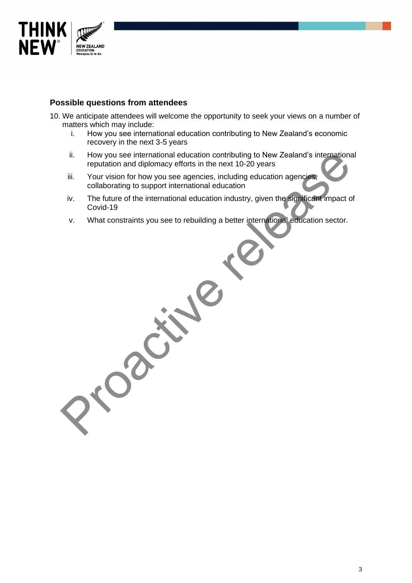

## **Possible questions from attendees**

Processes

- 10. We anticipate attendees will welcome the opportunity to seek your views on a number of matters which may include:<br>i. How you see interna
	- How you see international education contributing to New Zealand's economic recovery in the next 3-5 years
	- ii. How you see international education contributing to New Zealand's international reputation and diplomacy efforts in the next 10-20 years
	- iii. Your vision for how you see agencies, including education agencies, collaborating to support international education
	- iv. The future of the international education industry, given the significant impact of Covid-19
	- v. What constraints you see to rebuilding a better international education sector.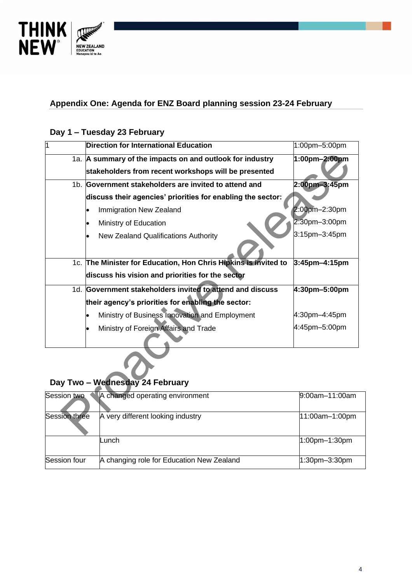

# **Appendix One: Agenda for ENZ Board planning session 23-24 February**

# **Day 1 – Tuesday 23 February**

| 1                    | <b>Direction for International Education</b>                    | 1:00pm-5:00pm  |
|----------------------|-----------------------------------------------------------------|----------------|
|                      | 1a. A summary of the impacts on and outlook for industry        | 1:00pm-2:00pm  |
|                      | stakeholders from recent workshops will be presented            |                |
|                      | 1b. Government stakeholders are invited to attend and           | 2:00pm-3:45pm  |
|                      | discuss their agencies' priorities for enabling the sector:     |                |
|                      | Immigration New Zealand                                         | 2:00pm-2:30pm  |
|                      | Ministry of Education                                           | 2:30pm-3:00pm  |
|                      | New Zealand Qualifications Authority                            | 3:15pm-3:45pm  |
|                      |                                                                 |                |
|                      | 1c. The Minister for Education, Hon Chris Hipkins is invited to | 3:45pm-4:15pm  |
|                      | discuss his vision and priorities for the sector                |                |
|                      | 1d. Government stakeholders invited to attend and discuss       | 4:30pm-5:00pm  |
|                      | their agency's priorities for enabling the sector:              |                |
|                      | Ministry of Business Innovation and Employment                  | 4:30pm-4:45pm  |
|                      | Ministry of Foreign Affairs and Trade                           | 4:45pm-5:00pm  |
|                      |                                                                 |                |
|                      |                                                                 |                |
|                      | Day Two - Wednesday 24 February                                 |                |
| Session two          | A changed operating environment                                 | 9:00am-11:00am |
| <b>Session three</b> | A very different looking industry                               | 11:00am-1:00pm |

# **Day Two – Wednesday 24 February**

| Session two          | A changed operating environment           | $9:00$ am $-11:00$ am |
|----------------------|-------------------------------------------|-----------------------|
| <b>Session three</b> | A very different looking industry         | 11:00am-1:00pm        |
|                      | Lunch                                     | $1:00$ pm $-1:30$ pm  |
| Session four         | A changing role for Education New Zealand | $1:30$ pm $-3:30$ pm  |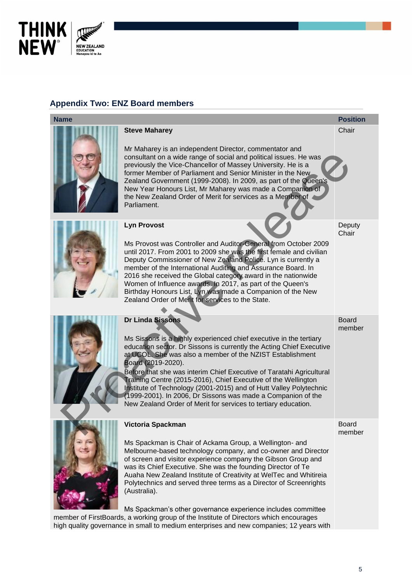

# **Appendix Two: ENZ Board members**

# **Name Position**

#### **Steve Maharey**

Mr Maharey is an independent Director, commentator and consultant on a wide range of social and political issues. He was previously the Vice-Chancellor of Massey University. He is a former Member of Parliament and Senior Minister in the New Zealand Government (1999-2008). In 2009, as part of the Queen's New Year Honours List, Mr Maharey was made a Companion of the New Zealand Order of Merit for services as a Member of Parliament. ocial and political issues. He was<br>of Massey University. He is a<br>d Senior Minister in the New<br>8). In 2009, as part of the Queen's<br>arey was made a Companion of<br>for services as a Member of<br>for services as a Member of<br>for ser



### **Lyn Provost**

Ms Provost was Controller and Auditor-General from October 2009 until 2017. From 2001 to 2009 she was the first female and civilian Deputy Commissioner of New Zealand Police. Lyn is currently a member of the International Auditing and Assurance Board. In 2016 she received the Global category award in the nationwide Women of Influence awards. In 2017, as part of the Queen's Birthday Honours List, Lyn was made a Companion of the New Zealand Order of Merit for services to the State.



# **Dr Linda Sissons**

Ms Sissons is a highly experienced chief executive in the tertiary education sector. Dr Sissons is currently the Acting Chief Executive at UCOL. She was also a member of the NZIST Establishment Board (2019-2020).

Before that she was interim Chief Executive of Taratahi Agricultural Training Centre (2015-2016), Chief Executive of the Wellington Institute of Technology (2001-2015) and of Hutt Valley Polytechnic (1999-2001). In 2006, Dr Sissons was made a Companion of the New Zealand Order of Merit for services to tertiary education.



# **Victoria Spackman**

Ms Spackman is Chair of Ackama Group, a Wellington- and Melbourne-based technology company, and co-owner and Director of screen and visitor experience company the Gibson Group and was its Chief Executive. She was the founding Director of Te Auaha New Zealand Institute of Creativity at WelTec and Whitireia Polytechnics and served three terms as a Director of Screenrights (Australia).

Ms Spackman's other governance experience includes committee

member of FirstBoards, a working group of the Institute of Directors which encourages high quality governance in small to medium enterprises and new companies; 12 years with **Chair** 

**Deputy Chair** 

Board member

Board

member